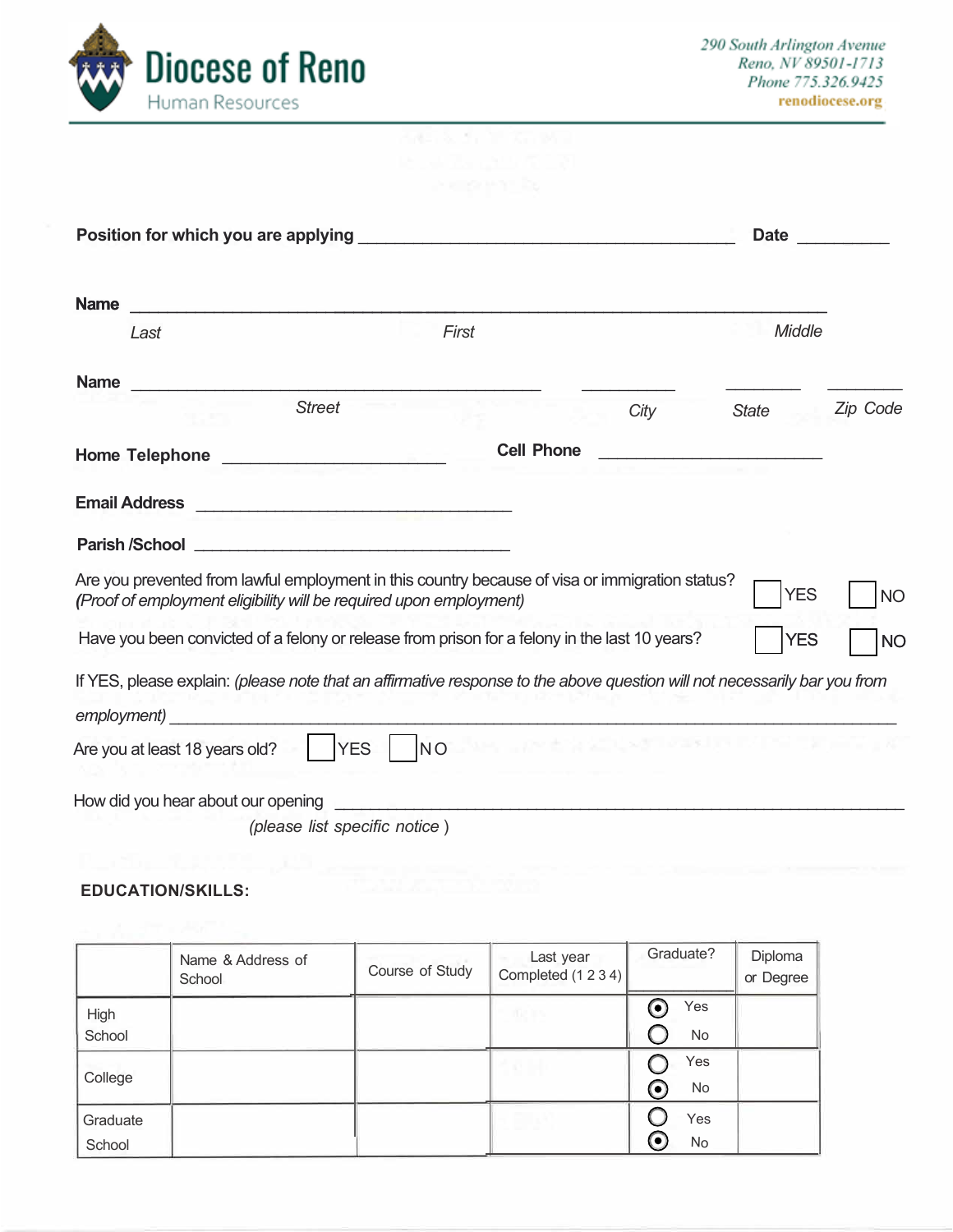

|                                                                                                                                                                       |                                              |           |                                                                                                                                                                                                                               | <b>Date</b>                                          |           |
|-----------------------------------------------------------------------------------------------------------------------------------------------------------------------|----------------------------------------------|-----------|-------------------------------------------------------------------------------------------------------------------------------------------------------------------------------------------------------------------------------|------------------------------------------------------|-----------|
| <b>Name</b>                                                                                                                                                           |                                              |           |                                                                                                                                                                                                                               |                                                      |           |
| Last                                                                                                                                                                  |                                              | First     |                                                                                                                                                                                                                               | Middle                                               |           |
| <b>Name</b>                                                                                                                                                           |                                              |           |                                                                                                                                                                                                                               |                                                      |           |
|                                                                                                                                                                       | <b>Street</b>                                |           | City                                                                                                                                                                                                                          | <b>State</b>                                         | Zip Code  |
| <b>Home Telephone</b>                                                                                                                                                 | the control of the control of the control of |           | <b>Cell Phone</b>                                                                                                                                                                                                             | <u> 1980 - Andrea Barbara, martin a bhaile an t-</u> |           |
| <b>Email Address</b>                                                                                                                                                  |                                              |           |                                                                                                                                                                                                                               |                                                      |           |
| <b>Parish /School</b>                                                                                                                                                 |                                              |           |                                                                                                                                                                                                                               |                                                      |           |
| Are you prevented from lawful employment in this country because of visa or immigration status?<br>(Proof of employment eligibility will be required upon employment) |                                              |           |                                                                                                                                                                                                                               | <b>YES</b>                                           | <b>NO</b> |
| Have you been convicted of a felony or release from prison for a felony in the last 10 years?                                                                         |                                              |           |                                                                                                                                                                                                                               | <b>YES</b>                                           | <b>NO</b> |
| If YES, please explain: (please note that an affirmative response to the above question will not necessarily bar you from                                             |                                              |           |                                                                                                                                                                                                                               |                                                      |           |
| employment)                                                                                                                                                           |                                              |           |                                                                                                                                                                                                                               |                                                      |           |
| Are you at least 18 years old?                                                                                                                                        | <b>YES</b>                                   | <b>NO</b> | The state of the control of the first state of the state of the control of the control of the control of the control of the control of the control of the control of the control of the control of the control of the control |                                                      |           |
| How did you hear about our opening                                                                                                                                    |                                              |           |                                                                                                                                                                                                                               |                                                      |           |
|                                                                                                                                                                       | (please list specific notice)                |           |                                                                                                                                                                                                                               |                                                      |           |

# **EDUCATION/SKILLS:**

|                    | Name & Address of<br>School | Course of Study | Last year<br>Completed (1 2 3 4) | Graduate?                          | Diploma<br>or Degree |
|--------------------|-----------------------------|-----------------|----------------------------------|------------------------------------|----------------------|
| High<br>School     |                             |                 | allie in se-                     | Yes<br>$\boldsymbol{\Theta}$<br>No |                      |
| College            |                             |                 |                                  | Yes<br>$\boldsymbol{\odot}$<br>No  |                      |
| Graduate<br>School |                             |                 |                                  | Yes<br>$\bf{O}$<br>No              |                      |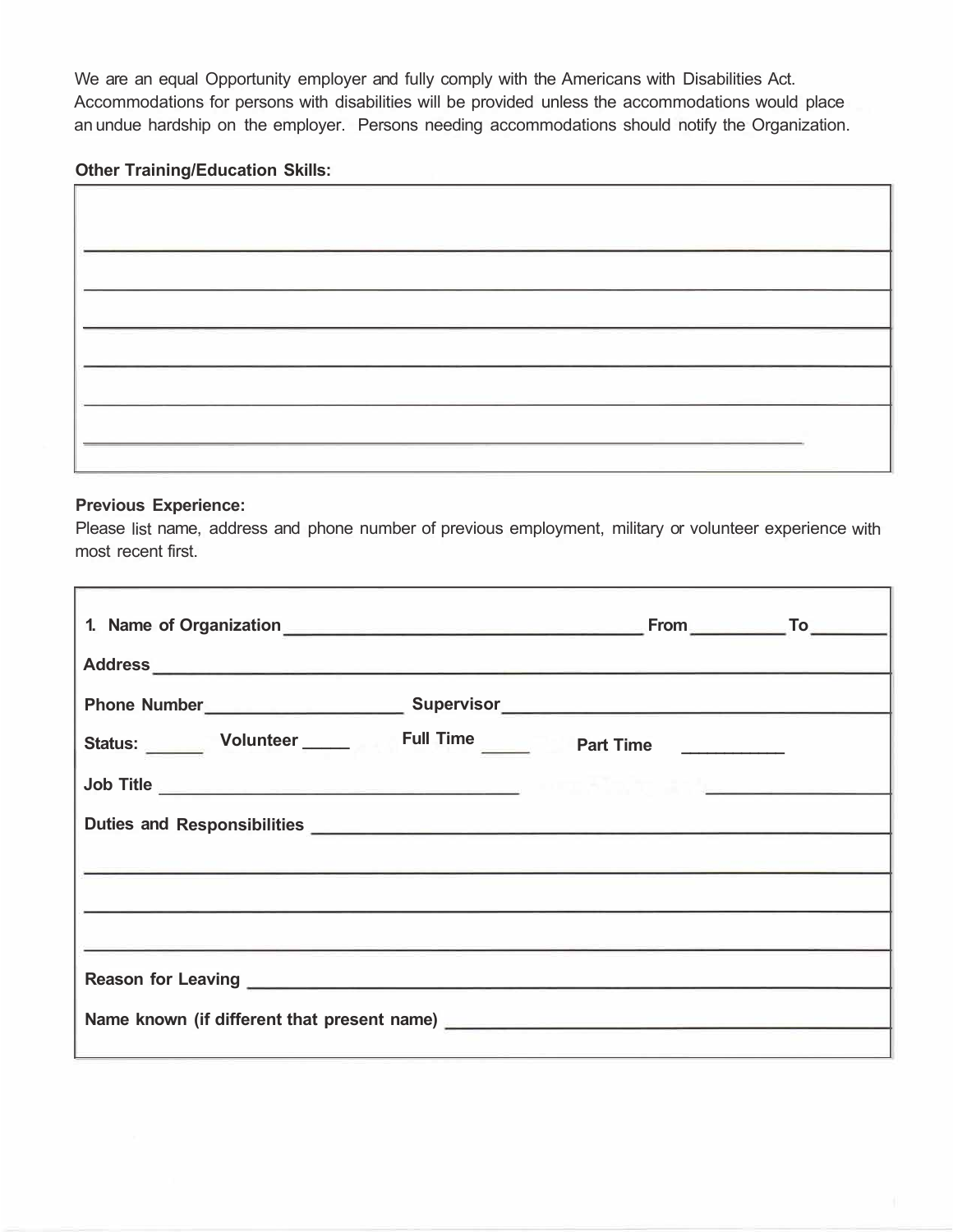We are an equal Opportunity employer and fully comply with the Americans with Disabilities Act. Accommodations for persons with disabilities will be provided unless the accommodations would place an undue hardship on the employer. Persons needing accommodations should notify the Organization.

# **Other Training/Education Skills:**

## **Previous Experience:**

Please list name, address and phone number of previous employment, military or volunteer experience with most recent first.

| Status: Volunteer Full Time Part Time                                                                                  |  |
|------------------------------------------------------------------------------------------------------------------------|--|
|                                                                                                                        |  |
|                                                                                                                        |  |
| <u> Alexandro Alexandro Alexandro Alexandro Alexandro Alexandro Alexandro Alexandro Alexandro Alexandro Alexandro </u> |  |
|                                                                                                                        |  |
|                                                                                                                        |  |
|                                                                                                                        |  |
|                                                                                                                        |  |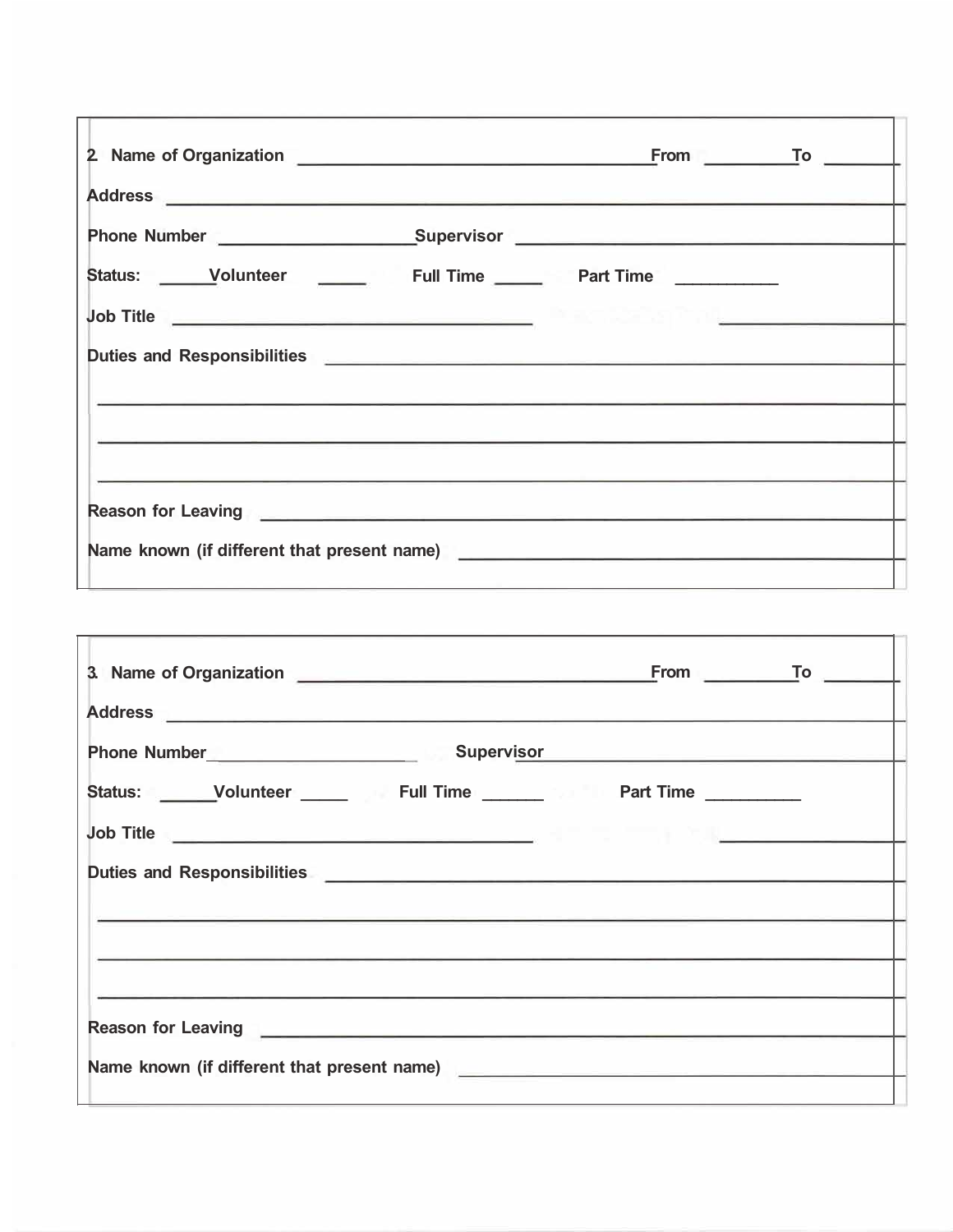| Address <b>experiences and the contract of the contract of the contract of the contract of the contract of the contract of the contract of the contract of the contract of the contract of the contract of the contract of the</b>   |  |
|--------------------------------------------------------------------------------------------------------------------------------------------------------------------------------------------------------------------------------------|--|
|                                                                                                                                                                                                                                      |  |
|                                                                                                                                                                                                                                      |  |
|                                                                                                                                                                                                                                      |  |
| Duties and Responsibilities <b>contained a manufacture of the set of the set of the set of the set of the set of the set of the set of the set of the set of the set of the set of the set of the set of the set of the set of t</b> |  |
|                                                                                                                                                                                                                                      |  |
|                                                                                                                                                                                                                                      |  |
| Reason for Leaving <u>contract the contract of the contract of the contract of the contract of the contract of the contract of the contract of the contract of the contract of the contract of the contract of the contract of t</u> |  |
|                                                                                                                                                                                                                                      |  |

| Address <b>experiences and the contract of the contract of the contract of the contract of the contract of the contract of the contract of the contract of the contract of the contract of the contract of the contract of the</b>   |  |
|--------------------------------------------------------------------------------------------------------------------------------------------------------------------------------------------------------------------------------------|--|
|                                                                                                                                                                                                                                      |  |
| Status: Volunteer _____ Full Time _____ Part Time ______                                                                                                                                                                             |  |
| <b>Job Title and Contract Contract Contract Contract Contract Contract Contract Contract Contract Contract Contract Contract Contract Contract Contract Contract Contract Contract Contract Contract Contract Contract Contract </b> |  |
|                                                                                                                                                                                                                                      |  |
|                                                                                                                                                                                                                                      |  |
|                                                                                                                                                                                                                                      |  |
|                                                                                                                                                                                                                                      |  |
| Name known (if different that present name)                                                                                                                                                                                          |  |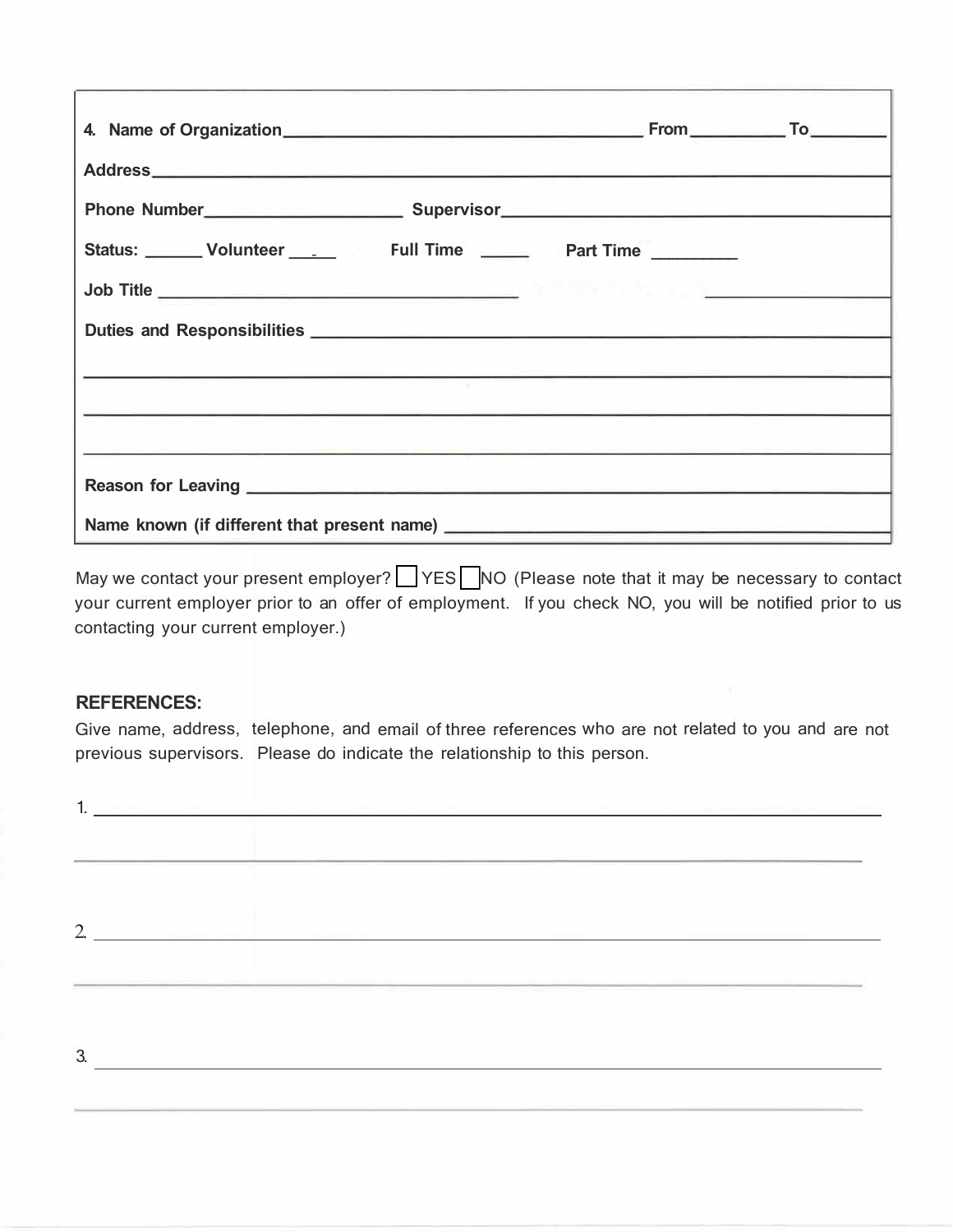| Status: Volunteer ___ Full Time ___ Part Time ____ |  |  |  |
|----------------------------------------------------|--|--|--|
|                                                    |  |  |  |
|                                                    |  |  |  |
|                                                    |  |  |  |
|                                                    |  |  |  |
|                                                    |  |  |  |
|                                                    |  |  |  |
|                                                    |  |  |  |

May we contact your present employer? VES NO (Please note that it may be necessary to contact your current employer prior to an offer of employment. If you check NO, you will be notified prior to us contacting your current employer.)

# **REFERENCES:**

Give name, address, telephone, and email of three references who are not related to you and are not previous supervisors. Please do indicate the relationship to this person.

|                |                                                                                                                | The contract of the property of the contract of the contract of the contract of |
|----------------|----------------------------------------------------------------------------------------------------------------|---------------------------------------------------------------------------------|
|                |                                                                                                                |                                                                                 |
| $\overline{2}$ | - Contract Contract Andrew Contract Andrew Contract Andrew Contract Andrew Contract Andrew Contract Andrew Con |                                                                                 |
| 3.             |                                                                                                                |                                                                                 |